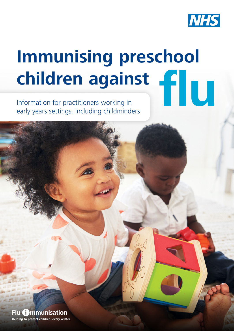

# **Immunising preschool children against fu**

Information for practitioners working in early years settings, including childminders

**Helping to protect children, every winter Flu <b>Communisation**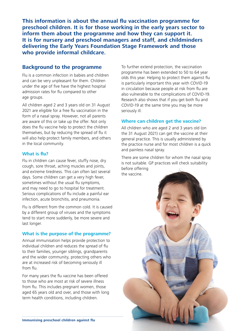**This information is about the annual fu vaccination programme for preschool children. It is for those working in the early years sector to inform them about the programme and how they can support it. It is for nursery and preschool managers and staff, and childminders delivering the Early Years Foundation Stage Framework and those who provide informal childcare.**

## **Background to the programme**

Flu is a common infection in babies and children and can be very unpleasant for them. Children under the age of five have the highest hospital admission rates for fu compared to other age groups.

All children aged 2 and 3 years old on 31 August 2021 are eligible for a free flu vaccination in the form of a nasal spray. However, not all parents are aware of this or take up the offer. Not only does the fu vaccine help to protect the children themselves, but by reducing the spread of fu it will also help protect family members, and others in the local community.

#### **What is fu?**

Flu in children can cause fever, stuffy nose, dry cough, sore throat, aching muscles and joints, and extreme tiredness. This can often last several days. Some children can get a very high fever, sometimes without the usual flu symptoms, and may need to go to hospital for treatment. Serious complications of flu include a painful ear infection, acute bronchitis, and pneumonia.

Flu is different from the common cold. It is caused by a different group of viruses and the symptoms tend to start more suddenly, be more severe and last longer.

#### **What is the purpose of the programme?**

Annual immunisation helps provide protection to individual children and reduces the spread of flu to their families, younger siblings, grandparents and the wider community, protecting others who are at increased risk of becoming seriously ill from fu.

For many years the flu vaccine has been offered to those who are most at risk of severe illness from fu. This includes pregnant women, those aged 65 years old and over, and those with long term health conditions, including children.

To further extend protection, the vaccination programme has been extended to 50 to 64 year olds this year. Helping to protect them against fu is particularly important this year with COVID-19 in circulation because people at risk from fu are also vulnerable to the complications of COVID-19. Research also shows that if you get both fu and COVID-19 at the same time you may be more seriously ill.

### **Where can children get the vaccine?**

All children who are aged 2 and 3 years old (on the 31 August 2021) can get the vaccine at their general practice. This is usually administered by the practice nurse and for most children is a quick and painless nasal spray.

There are some children for whom the nasal spray is not suitable. GP practices will check suitability before offering the vaccine.

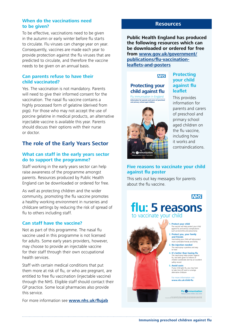#### **When do the vaccinations need to be given?**

To be effective, vaccinations need to be given in the autumn or early winter before fu starts to circulate. Flu viruses can change year on year. Consequently, vaccines are made each year to provide protection against the fu viruses that are predicted to circulate, and therefore the vaccine needs to be given on an annual basis.

#### **Can parents refuse to have their child vaccinated?**

Yes. The vaccination is not mandatory. Parents will need to give their informed consent for the vaccination. The nasal flu vaccine contains a highly processed form of gelatine (derived from pigs). For those who may not accept the use of porcine gelatine in medical products, an alternative injectable vaccine is available this year. Parents should discuss their options with their nurse or doctor.

## **The role of the Early Years Sector**

#### **What can staff in the early years sector do to support the programme?**

Staff working in the early years sector can help raise awareness of the programme amongst parents. Resources produced by Public Health England can be downloaded or ordered for free.

As well as protecting children and the wider community, promoting the fu vaccine promotes a healthy working environment in nurseries and childcare settings by reducing the risk of spread of flu to others including staff.

#### **Can staff have the vaccine?**

Not as part of this programme. The nasal fu vaccine used in this programme is not licensed for adults. Some early years providers, however, may choose to provide an injectable vaccine for their staff through their own occupational health services.

Staff with certain medical conditions that put them more at risk of flu, or who are pregnant, are entitled to free flu vaccination (injectable vaccine) through the NHS. Eligible staff should contact their GP practice. Some local pharmacies also provide this service.

For more information see **www.nhs.uk/fujab**

### **Resources**

**Public Health England has produced the following resources which can be downloaded or ordered for free from [www.gov.uk/government/](www.gov.uk/government/publications/flu-vaccination-leaflets-and-posters) [publications/fu-vaccination](www.gov.uk/government/publications/flu-vaccination-leaflets-and-posters)**leaflets-and-posters

**NHS** 





#### **Protecting your child against fu leaflet**

This provides information for parents and carers of preschool and primary school aged children on the flu vaccine. including how it works and contraindications.

#### **Five reasons to vaccinate your child against fu poster**

**fu: 5 reasons**

This sets out key messages for parents about the flu vaccine.

to vaccinate your child

**1. Protect your child**<br>The vaccine will help protect your child against fu and serious complications such as bronchitis and pneumonia

**NHS** 

**2. Protect you, your family and friends** Vaccinating your child will help protect more vulnerable friends and family

**3. No injection needed** 

The nasal spray is painless and easy to have

**4. It's better than having fu** The nasal spray helps protect against fu, has been given to millions of children worldwide and has an excellent safety record

**5. Avoid costs**<br>
If your child gets flu, you may have<br>
to take time off work or arrange<br>
alternative childcare

For more information **www.nhs.uk/child-fu**

> Flu **O** mmunisation Helping to protect children, every winter

© Crown copyright 2021. Product code: 2901251E1. Public Health England gateway number: 2021108.